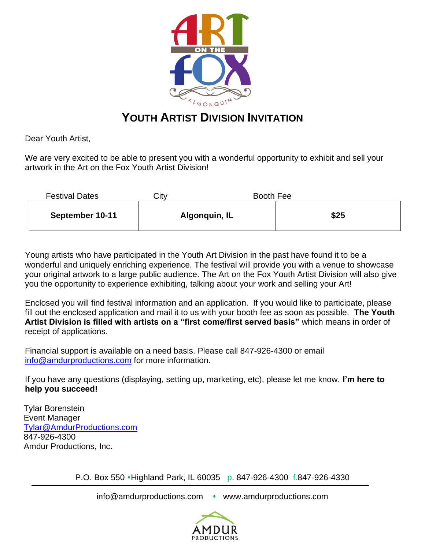

## **YOUTH ARTIST DIVISION INVITATION**

Dear Youth Artist,

We are very excited to be able to present you with a wonderful opportunity to exhibit and sell your artwork in the Art on the Fox Youth Artist Division!

| <b>Festival Dates</b> | Citv | Booth Fee     |      |
|-----------------------|------|---------------|------|
| September 10-11       |      | Algonquin, IL | \$25 |

Young artists who have participated in the Youth Art Division in the past have found it to be a wonderful and uniquely enriching experience. The festival will provide you with a venue to showcase your original artwork to a large public audience. The Art on the Fox Youth Artist Division will also give you the opportunity to experience exhibiting, talking about your work and selling your Art!

Enclosed you will find festival information and an application. If you would like to participate, please fill out the enclosed application and mail it to us with your booth fee as soon as possible. **The Youth Artist Division is filled with artists on a "first come/first served basis"** which means in order of receipt of applications.

Financial support is available on a need basis. Please call 847-926-4300 or email [info@amdurproductions.com](mailto:info@amdurproductions.com) for more information.

If you have any questions (displaying, setting up, marketing, etc), please let me know. **I'm here to help you succeed!**

Tylar Borenstein Event Manager [Tylar@AmdurProductions.com](mailto:Tylar@AmdurProductions.com) 847-926-4300 Amdur Productions, Inc.

P.O. Box 550 • Highland Park, IL 60035 p. 847-926-4300 f.847-926-4330

info@amdurproductions.com • www.amdurproductions.com

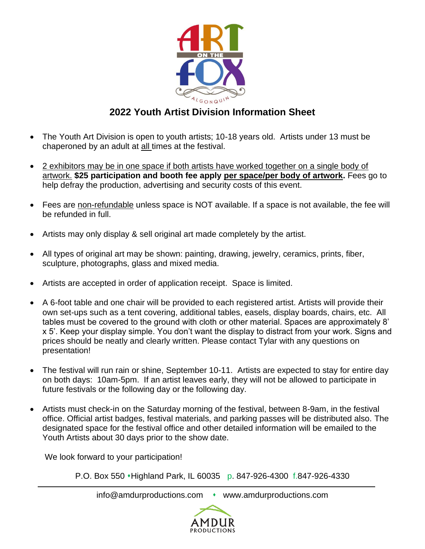

## **2022 Youth Artist Division Information Sheet**

- The Youth Art Division is open to youth artists; 10-18 years old. Artists under 13 must be chaperoned by an adult at all times at the festival.
- 2 exhibitors may be in one space if both artists have worked together on a single body of artwork. **\$25 participation and booth fee apply per space/per body of artwork.** Fees go to help defray the production, advertising and security costs of this event.
- Fees are non-refundable unless space is NOT available. If a space is not available, the fee will be refunded in full.
- Artists may only display & sell original art made completely by the artist.
- All types of original art may be shown: painting, drawing, jewelry, ceramics, prints, fiber, sculpture, photographs, glass and mixed media.
- Artists are accepted in order of application receipt. Space is limited.
- A 6-foot table and one chair will be provided to each registered artist. Artists will provide their own set-ups such as a tent covering, additional tables, easels, display boards, chairs, etc. All tables must be covered to the ground with cloth or other material. Spaces are approximately 8' x 5'. Keep your display simple. You don't want the display to distract from your work. Signs and prices should be neatly and clearly written. Please contact Tylar with any questions on presentation!
- The festival will run rain or shine, September 10-11. Artists are expected to stay for entire day on both days: 10am-5pm. If an artist leaves early, they will not be allowed to participate in future festivals or the following day or the following day.
- Artists must check-in on the Saturday morning of the festival, between 8-9am, in the festival office. Official artist badges, festival materials, and parking passes will be distributed also. The designated space for the festival office and other detailed information will be emailed to the Youth Artists about 30 days prior to the show date.

We look forward to your participation!

P.O. Box 550 ⬧Highland Park, IL 60035 p. 847-926-4300 f.847-926-4330

info@amdurproductions.com • www.amdurproductions.com